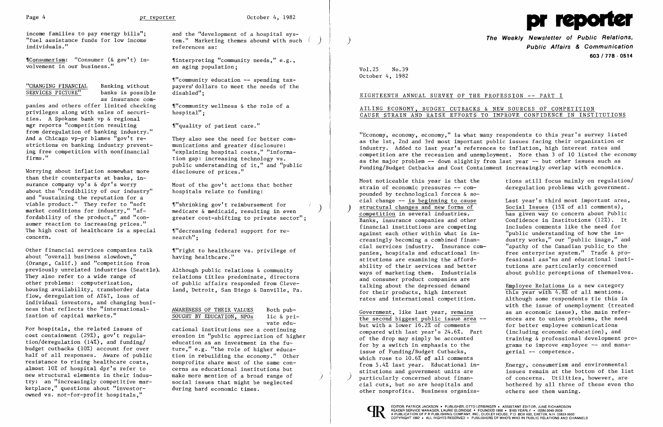

income families to pay energy bills"; "fuel assistance funds for low income individuals."

,rConsumerism: "Consumer (& gov't) involvement in our business."

"CHANGING FINANCIAL Banking without SERVICES PICTURE" banks is possible

as insurance com-

panies and others offer limited checking privileges along with sales of securities. A Spokane bank vp & regional mgr reports "competition resulting from deregulation of banking industry." And a Chicago vp-pr blames "gov't restrictions on banking industry preventing free competition with nonfinancial firms."

Worrying about inflation somewhat more than their counterparts at banks, insurance company vp's & dpr's worry about the "credibility of our industry" and "sustaining the reputation for a viable product." They refer to "soft market conditions for industry," "affordability of the product," and "consumer reaction to increasing prices." The high cost of healthcare is a special concern.

and the "development of a hospital system." Marketing themes abound with such ( ) references as:

 $"$ community education -- spending taxpayers' dollars to meet the needs of the disabled";

 $\mathcal{L}$ "community wellness & the role of a hospital":

""quality of patient care."

Other financial services companies talk about "overall business slowdown," (Orange, Calif.) and "competition from previously unrelated industries (Seattle). They also refer to a wide range of other problems: computerization, housing availability, transborder data flow, deregulation of AT&T, loss of individual investors, and changing business that reflects the "internationalization of capital markets."

"decreasing federal support for research";

""right to healthcare vs. privilege of having healthcare."

> Both pub- $1$ ic & private edu-

For hospitals, the related issues of cost containment (29%), gov't regulation/deregulation (14%), and funding/ budget cutbacks (10%) account for over half of all responses. Aware of public resistance to rising healthcare costs, almost 10% of hospital dpr's refer to new structural elements in their industry: an "increasingly competitive marketplace," questions about "investorowned vs. not-for-profit hospitals,"

**of Public Relations, The Weekly Newsletter** ) **Public Affairs & Communication**  *603* **I 778 - 0514** 

Most noticeable this year is that the tions still focus mainly on regulation/<br>strain of economic pressures -- com-<br>deregulation problems with government. deregulation problems with government.

> has given way to concern about Public<br>Confidence in Institutions (12%). It free enterprise system." Trade & pro-<br>fessional ass'ns and educational insti-

this year with  $4.8\%$  of all mentions. with the issue of unemployment (treated Government, like last year, remains as an economic issue), the main refer-<br>the second biggest public issue area -- ences are to union problems, the need for better employee communications training & professional development pro-

stitutions and government units are issues remain at the bottom of the list<br>particularly concerned about finan- of concerns. Utilities, however, are bothered by all three of these even tho

## **I**  EIGHTEENTH ANNUAL SURVEY OF THE PROFESSION -- PART

,rinterpreting "community needs," e.g., an aging population;

They also see the need for better communications and greater disclosure: "explaining hospital costs," "information gap: increasing technology vs. public understanding of it," and "public disclosure of prices."

Most of the gov't actions that bother hospitals relate to funding:

,r"shrinking gov' t reimbursement for medicare & medicaid, resulting in even greater cost-shifting to private sector";

Although public relations & community relations titles predominate, directors of public affairs responded from Cleveland, Detroit, San Diego & Danville, Pa.

| SOUGHT BY EDUCATION, NPOs | AWARENESS OF THEIR VALUES |
|---------------------------|---------------------------|
|                           |                           |

cational institutions see a continuing erosion in "public appreciation of higher education as an investment in the future," e.g. "the role of higher education in rebuilding the economy." Other nonprofits share most of the same concerns as educational institutions but make more mention of a broad range of social issues that might be neglected during hard economic times.

the second biggest public issue area  $-\frac{1}{b}$  but with a lower 16.2% of comments compared with last year's 24.6%. Part (including economic education), and<br>of the drop may simply be accounted training & professional development for by a switch in emphasis to the  $\frac{1}{2}$  grams to improve employee  $\frac{1}{2}$  and mana-<br>issue of Funding/Budget Cutbacks,  $\frac{1}{2}$  gerial  $\frac{1}{2}$  competence. issue of Funding/Budget Cutbacks, which rose to  $10.6%$  of all comments<br>from 5.4% last year. Educational infrom 5.4% last year. Educational in-<br>stitutions and government units are fissues remain at the bottom of the lis particularly concerned about finan-<br>
cial cuts, but so are hospitals and bothered by all three of these even the other nonprofits. Business organiza- others see them waning.

Vol. 25 No. 39 October 4, 1982

## AILING ECONOMY, BUDGET CUTBACKS & NEW SOURCES OF COMPETITION CAUSE STRAIN AND RAISE EFFORTS TO IMPROVE CONFIDENCE IN INSTITUTIONS

"Economy, economy, economy," is what many respondents to this year's survey listed as the 1st, 2nd and 3rd most important public issues facing their organization or industry. Added to last year's references to inflation, high interest rates and competition are the recession and unemployment. More than 3 of 10 listed the economy as the major problem -- down slightly from last year -- but other issues such as Funding/Budget Cutbacks and Cost Containment increasingly overlap with economics.

pounded by technological forces & so cial change -- <u>is beginning to cause</u> Last year's third most important area,<br>structural changes and new forms of Social Issues (15% of all comments), structural changes and new forms of competition in several industries. Banks, insurance companies and other Confidence in Institutions (12%). I<br>financial institutions are competing includes comments like the need for financial institutions are competing against each other within what is in- $"$ public understanding of how the increasingly becoming a combined finan-<br>cial services industry. Insurance com-<br>"apathy of the Canadian public to the cial services industry. Insurance com-<br>
panies, hospitals and educational in-<br>
free enterprise system." Trade & prostitutions are examining the afford-<br>ability of their services and better<br>tutions are particularly concerned ability of their services and better ways of marketing them. Industrials about public perceptions of themselves. and consumer product companies are talking about the depressed demand<br>for their products, high interest<br> $\frac{\text{Emplope Relations is a new category}}{\text{this year with } 4.8\%}$  of all mentions. rates and international competition. Although some respondents tie this in